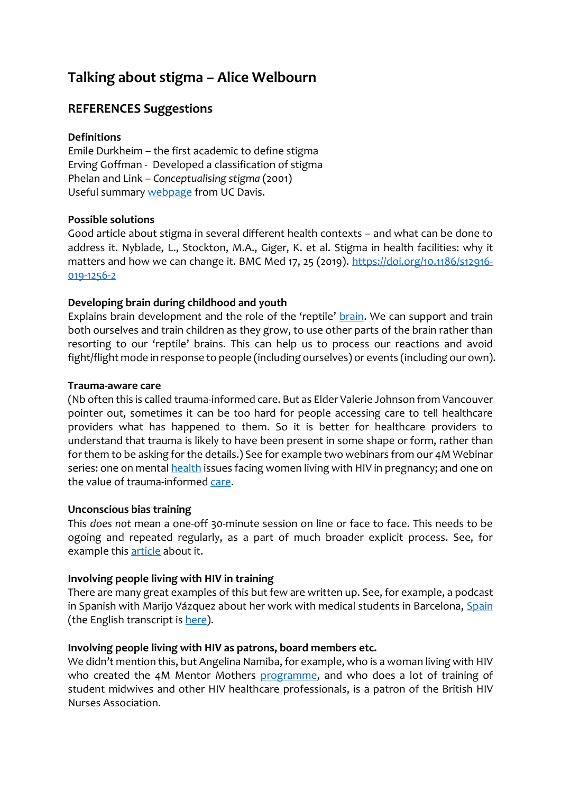# **Talking about stigma – Alice Welbourn**

# **REFERENCES Suggestions**

# **Definitions**

Emile Durkheim – the first academic to define stigma Erving Goffman - Developed a classification of stigma Phelan and Link – *Conceptualising stigma* (2001) Useful summar[y webpage](https://socialsci.libretexts.org/Bookshelves/Sociology/Book%3A_Sociology_(Boundless)/07%3A_Deviance_Social_Control_and_Crime/7.01%3A_Deviance/7.1C%3A_Deviance_and_Social_Stigma) from UC Davis.

### **Possible solutions**

Good article about stigma in several different health contexts – and what can be done to address it. Nyblade, L., Stockton, M.A., Giger, K. et al. Stigma in health facilities: why it matters and how we can change it. BMC Med 17, 25 (2019). [https://doi.org/10.1186/s12916-](https://doi.org/10.1186/s12916-019-1256-2) [019-1256-2](https://doi.org/10.1186/s12916-019-1256-2)

# **Developing brain during childhood and youth**

Explains brain development and the role of the 'reptile' [brain.](https://www.goodreads.com/book/show/10353369-the-whole-brain-child) We can support and train both ourselves and train children as they grow, to use other parts of the brain rather than resorting to our 'reptile' brains. This can help us to process our reactions and avoid fight/flight mode in response to people (including ourselves) or events (including our own).

### **Trauma-aware care**

(Nb often this is called trauma-informed care. But as Elder Valerie Johnson from Vancouver pointer out, sometimes it can be too hard for people accessing care to tell healthcare providers what has happened to them. So it is better for healthcare providers to understand that trauma is likely to have been present in some shape or form, rather than for them to be asking for the details.) See for example two webinars from our 4M Webinar series: one on menta[l health](https://vimeo.com/498641175) issues facing women living with HIV in pregnancy; and one on the value of trauma-informed [care.](https://vimeo.com/498623719)

### **Unconscious bias training**

This *does not* mean a one-off 30-minute session on line or face to face. This needs to be ogoing and repeated regularly, as a part of much broader explicit process. See, for example this [article](https://www.wired.co.uk/article/unconscious-bias-training-broken) about it.

### **Involving people living with HIV in training**

There are many great examples of this but few are written up. See, for example, a podcast in Spanish with Marijo Vázquez about her work with medical students in Barcelona, [Spain](https://salamandertrust.net/podcast/podcast-episodio-num-4/) (the English transcript i[s here\)](https://salamandertrust.net/wp-content/uploads/2019/04/Salamander_Trust_MariJo_Vazquez_podcast_March_2019_rough_translation_full_text.pdf).

### **Involving people living with HIV as patrons, board members etc.**

We didn't mention this, but Angelina Namiba, for example, who is a woman living with HIV who created the 4M Mentor Mothers [programme,](https://4mmm.org/co-directors/) and who does a lot of training of student midwives and other HIV healthcare professionals, is a patron of the British HIV Nurses Association.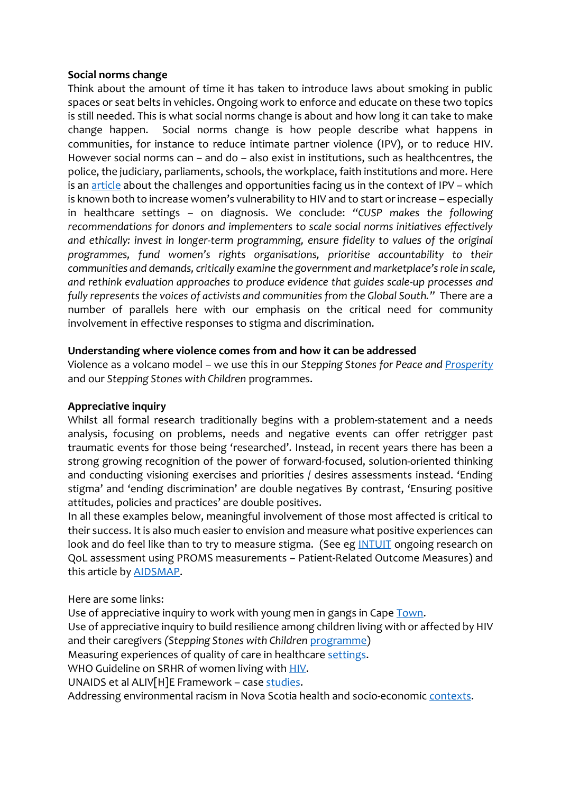### **Social norms change**

Think about the amount of time it has taken to introduce laws about smoking in public spaces or seat belts in vehicles. Ongoing work to enforce and educate on these two topics is still needed. This is what social norms change is about and how long it can take to make change happen. Social norms change is how people describe what happens in communities, for instance to reduce intimate partner violence (IPV), or to reduce HIV. However social norms can – and do – also exist in institutions, such as healthcentres, the police, the judiciary, parliaments, schools, the workplace, faith institutions and more. Here is an [article](https://www.tandfonline.com/doi/full/10.1080/26410397.2019.1599654) about the challenges and opportunities facing us in the context of IPV – which is known both to increase women's vulnerability to HIV and to start or increase – especially in healthcare settings – on diagnosis. We conclude: *"CUSP makes the following recommendations for donors and implementers to scale social norms initiatives effectively and ethically: invest in longer-term programming, ensure fidelity to values of the original programmes, fund women's rights organisations, prioritise accountability to their communities and demands, critically examine the government and marketplace's role in scale, and rethink evaluation approaches to produce evidence that guides scale-up processes and fully represents the voices of activists and communities from the Global South."* There are a number of parallels here with our emphasis on the critical need for community involvement in effective responses to stigma and discrimination.

### **Understanding where violence comes from and how it can be addressed**

Violence as a volcano model – we use this in our *Stepping Stones for Peace and [Prosperity](https://steppingstonesfeedback.org/wp-content/uploads/2016/10/OronSebuwufuWelbourn_StStKaramojaNov2014.pdf)* and our *Stepping Stones with Children* programmes.

### **Appreciative inquiry**

Whilst all formal research traditionally begins with a problem-statement and a needs analysis, focusing on problems, needs and negative events can offer retrigger past traumatic events for those being 'researched'. Instead, in recent years there has been a strong growing recognition of the power of forward-focused, solution-oriented thinking and conducting visioning exercises and priorities / desires assessments instead. 'Ending stigma' and 'ending discrimination' are double negatives By contrast, 'Ensuring positive attitudes, policies and practices' are double positives.

In all these examples below, meaningful involvement of those most affected is critical to their success. It is also much easier to envision and measure what positive experiences can look and do feel like than to try to measure stigma. (See eg [INTUIT](https://intuitproject.org/) ongoing research on QoL assessment using PROMS measurements – Patient-Related Outcome Measures) and this article by [AIDSMAP.](https://www.aidsmap.com/news/sep-2020/developing-patient-reported-outcome-measure-hiv)

Here are some links:

Use of appreciative inquiry to work with young men in gangs in Cap[e Town.](https://onlinelibrary.wiley.com/doi/full/10.1111/j.1467-6427.2009.00461.x) Use of appreciative inquiry to build resilience among children living with or affected by HIV and their caregivers *(Stepping Stones with Children* [programme\)](https://journals.sagepub.com/doi/10.1177/0017896918787217) Measuring experiences of quality of care in healthcare [settings.](https://bmjopen.bmj.com/content/7/10/e016234) WHO Guideline on SRHR of women living with **HIV**. UNAIDS et al ALIV[H]E Framework – case [studies.](https://salamandertrust.net/news/alivhe-in-action-case-studies-booklet-out/) Addressing environmental racism in Nova Scotia health and socio-economic [contexts.](http://www.enrichproject.org/wp-content/uploads/2013/12/Environmental-Injustice-Report.pdf)